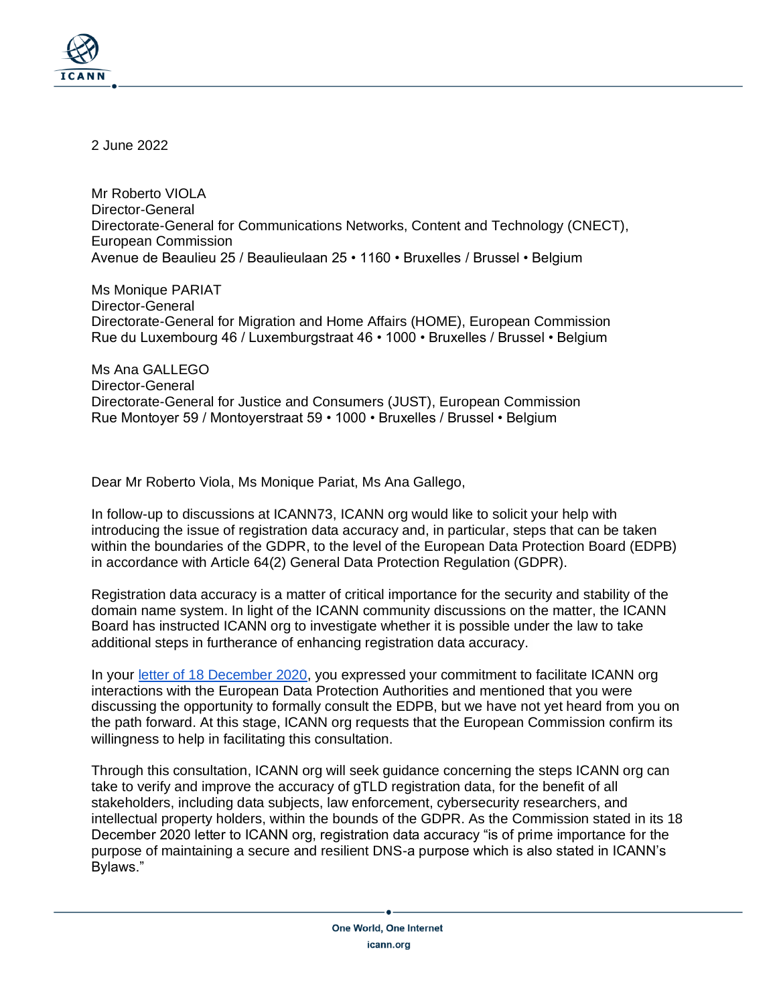

2 June 2022

Mr Roberto VIOLA Director-General Directorate-General for Communications Networks, Content and Technology (CNECT), European Commission Avenue de Beaulieu 25 / Beaulieulaan 25 • 1160 • Bruxelles / Brussel • Belgium

Ms Monique PARIAT Director-General Directorate-General for Migration and Home Affairs (HOME), European Commission Rue du Luxembourg 46 / Luxemburgstraat 46 • 1000 • Bruxelles / Brussel • Belgium

Ms Ana GALLEGO Director-General Directorate-General for Justice and Consumers (JUST), European Commission Rue Montoyer 59 / Montoyerstraat 59 • 1000 • Bruxelles / Brussel • Belgium

Dear Mr Roberto Viola, Ms Monique Pariat, Ms Ana Gallego,

In follow-up to discussions at ICANN73, ICANN org would like to solicit your help with introducing the issue of registration data accuracy and, in particular, steps that can be taken within the boundaries of the GDPR, to the level of the European Data Protection Board (EDPB) in accordance with Article 64(2) General Data Protection Regulation (GDPR).

Registration data accuracy is a matter of critical importance for the security and stability of the domain name system. In light of the ICANN community discussions on the matter, the ICANN Board has instructed ICANN org to investigate whether it is possible under the law to take additional steps in furtherance of enhancing registration data accuracy.

In your [letter of 18 December 2020,](https://www.icann.org/en/system/files/correspondence/viola-et-al-to-marby-18dec20-en.pdf) you expressed your commitment to facilitate ICANN org interactions with the European Data Protection Authorities and mentioned that you were discussing the opportunity to formally consult the EDPB, but we have not yet heard from you on the path forward. At this stage, ICANN org requests that the European Commission confirm its willingness to help in facilitating this consultation.

Through this consultation, ICANN org will seek guidance concerning the steps ICANN org can take to verify and improve the accuracy of gTLD registration data, for the benefit of all stakeholders, including data subjects, law enforcement, cybersecurity researchers, and intellectual property holders, within the bounds of the GDPR. As the Commission stated in its 18 December 2020 letter to ICANN org, registration data accuracy "is of prime importance for the purpose of maintaining a secure and resilient DNS-a purpose which is also stated in ICANN's Bylaws."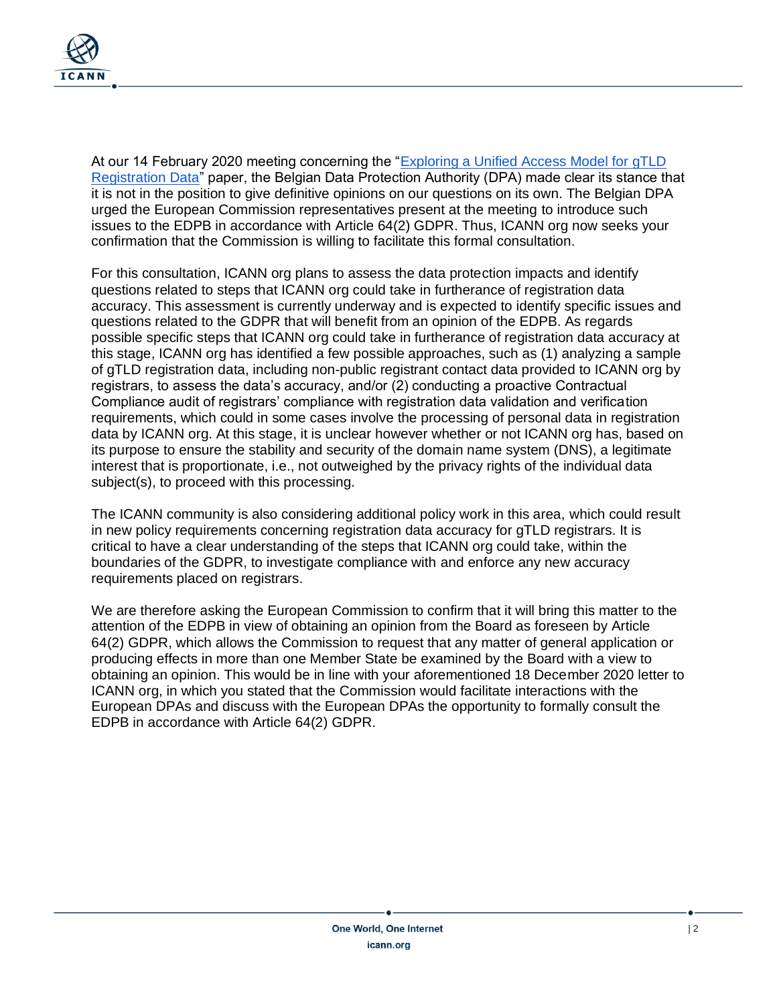

At our 14 February 2020 meeting concerning the ["Exploring a Unified Access Model for gTLD](https://www.icann.org/en/system/files/files/unified-access-model-gtld-registration-data-25oct19-en.pdf)  [Registration Data"](https://www.icann.org/en/system/files/files/unified-access-model-gtld-registration-data-25oct19-en.pdf) paper, the Belgian Data Protection Authority (DPA) made clear its stance that it is not in the position to give definitive opinions on our questions on its own. The Belgian DPA urged the European Commission representatives present at the meeting to introduce such issues to the EDPB in accordance with Article 64(2) GDPR. Thus, ICANN org now seeks your confirmation that the Commission is willing to facilitate this formal consultation.

For this consultation, ICANN org plans to assess the data protection impacts and identify questions related to steps that ICANN org could take in furtherance of registration data accuracy. This assessment is currently underway and is expected to identify specific issues and questions related to the GDPR that will benefit from an opinion of the EDPB. As regards possible specific steps that ICANN org could take in furtherance of registration data accuracy at this stage, ICANN org has identified a few possible approaches, such as (1) analyzing a sample of gTLD registration data, including non-public registrant contact data provided to ICANN org by registrars, to assess the data's accuracy, and/or (2) conducting a proactive Contractual Compliance audit of registrars' compliance with registration data validation and verification requirements, which could in some cases involve the processing of personal data in registration data by ICANN org. At this stage, it is unclear however whether or not ICANN org has, based on its purpose to ensure the stability and security of the domain name system (DNS), a legitimate interest that is proportionate, i.e., not outweighed by the privacy rights of the individual data subject(s), to proceed with this processing.

The ICANN community is also considering additional policy work in this area, which could result in new policy requirements concerning registration data accuracy for gTLD registrars. It is critical to have a clear understanding of the steps that ICANN org could take, within the boundaries of the GDPR, to investigate compliance with and enforce any new accuracy requirements placed on registrars.

We are therefore asking the European Commission to confirm that it will bring this matter to the attention of the EDPB in view of obtaining an opinion from the Board as foreseen by Article 64(2) GDPR, which allows the Commission to request that any matter of general application or producing effects in more than one Member State be examined by the Board with a view to obtaining an opinion. This would be in line with your aforementioned 18 December 2020 letter to ICANN org, in which you stated that the Commission would facilitate interactions with the European DPAs and discuss with the European DPAs the opportunity to formally consult the EDPB in accordance with Article 64(2) GDPR.